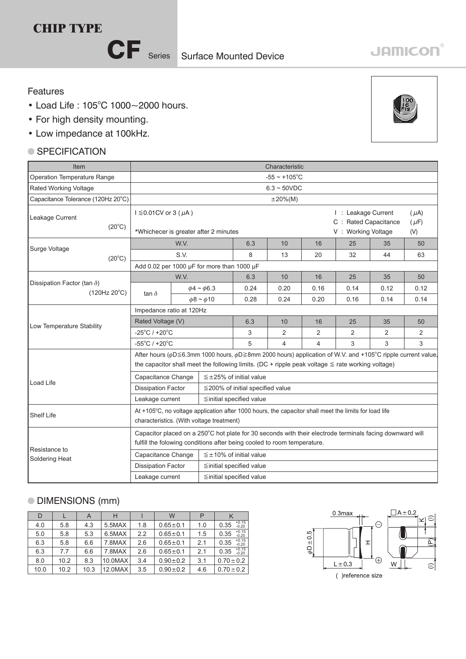## **CHIP TYPE**

CF Series

# **JAMICON®**

#### Features

- $\bullet$  Load Life: 105°C 1000~2000 hours.
- For high density mounting.
- Low impedance

#### ● SPECIFICATION

| • Low impedance at 100kHz.                         |                                                                                                                                                                                                                                       |      |                       |                              |                |      |                                                                                   |                                                          |      |  |  |  |  |
|----------------------------------------------------|---------------------------------------------------------------------------------------------------------------------------------------------------------------------------------------------------------------------------------------|------|-----------------------|------------------------------|----------------|------|-----------------------------------------------------------------------------------|----------------------------------------------------------|------|--|--|--|--|
| $\bullet$ SPECIFICATION                            |                                                                                                                                                                                                                                       |      |                       |                              |                |      |                                                                                   |                                                          |      |  |  |  |  |
| Item                                               | Characteristic                                                                                                                                                                                                                        |      |                       |                              |                |      |                                                                                   |                                                          |      |  |  |  |  |
| <b>Operation Temperature Range</b>                 | $-55 \sim +105$ °C                                                                                                                                                                                                                    |      |                       |                              |                |      |                                                                                   |                                                          |      |  |  |  |  |
| Rated Working Voltage                              | $6.3 - 50VDC$                                                                                                                                                                                                                         |      |                       |                              |                |      |                                                                                   |                                                          |      |  |  |  |  |
| Capacitance Tolerance (120Hz 20°C)                 | $\pm 20\%$ (M)                                                                                                                                                                                                                        |      |                       |                              |                |      |                                                                                   |                                                          |      |  |  |  |  |
| Leakage Current<br>$(20^{\circ}C)$                 | $I \leq 0.01$ CV or 3 ( $\mu$ A)<br>*Whichecer is greater after 2 minutes                                                                                                                                                             |      |                       |                              |                |      |                                                                                   | $(\mu A)$<br>$(\mu F)$<br>(V)                            |      |  |  |  |  |
|                                                    |                                                                                                                                                                                                                                       | W.V. |                       | 6.3                          | 10             | 16   | 25                                                                                | 35                                                       | 50   |  |  |  |  |
| Surge Voltage<br>$(20^{\circ}C)$                   |                                                                                                                                                                                                                                       | S.V. |                       | 8                            | 13             | 20   | 32                                                                                | 44                                                       | 63   |  |  |  |  |
|                                                    | Add 0.02 per 1000 µF for more than 1000 µF                                                                                                                                                                                            |      |                       |                              |                |      |                                                                                   |                                                          |      |  |  |  |  |
|                                                    |                                                                                                                                                                                                                                       | W.V. |                       | 6.3                          | 10             | 16   | 25                                                                                | 35<br>50<br>0.12<br>0.14<br>35<br>50<br>2<br>2<br>3<br>3 |      |  |  |  |  |
| Dissipation Factor (tan $\delta$ )<br>(120Hz 20°C) | tan $\delta$                                                                                                                                                                                                                          |      | $\phi$ 4 ~ $\phi$ 6.3 | 0.24                         | 0.20           | 0.16 | 0.14                                                                              |                                                          | 0.12 |  |  |  |  |
|                                                    |                                                                                                                                                                                                                                       |      | $\phi$ 8 ~ $\phi$ 10  | 0.28                         | 0.24           | 0.20 | 0.16                                                                              |                                                          | 0.14 |  |  |  |  |
|                                                    | Impedance ratio at 120Hz                                                                                                                                                                                                              |      |                       |                              |                |      |                                                                                   |                                                          |      |  |  |  |  |
| Low Temperature Stability                          | Rated Voltage (V)                                                                                                                                                                                                                     |      |                       | 6.3                          | 10             | 16   | I: Leakage Current<br>C : Rated Capacitance<br>V: Working Voltage<br>25<br>2<br>3 |                                                          |      |  |  |  |  |
|                                                    | $-25^{\circ}$ C / +20 $^{\circ}$ C                                                                                                                                                                                                    |      |                       | 3                            | 2              | 2    |                                                                                   |                                                          |      |  |  |  |  |
|                                                    | $-55^{\circ}$ C / +20 $^{\circ}$ C                                                                                                                                                                                                    |      |                       | 5                            | $\overline{4}$ | 4    |                                                                                   |                                                          |      |  |  |  |  |
|                                                    | After hours ( $\phi$ D 	e 6.3mm 1000 hours, $\phi$ D 	e 8mm 2000 hours) application of W.V. and +105°C ripple current value,<br>the capacitor shall meet the following limits. (DC + ripple peak voltage $\leq$ rate working voltage) |      |                       |                              |                |      |                                                                                   |                                                          |      |  |  |  |  |
| Load Life                                          | Capacitance Change                                                                                                                                                                                                                    |      |                       | $\leq$ ±25% of initial value |                |      |                                                                                   |                                                          |      |  |  |  |  |
|                                                    |                                                                                                                                                                                                                                       |      |                       |                              |                |      |                                                                                   |                                                          |      |  |  |  |  |

|                                 | Capacitance Change                                                                                                                                                                  | $\leq \pm 25\%$ of initial value       |  |  |  |  |  |  |
|---------------------------------|-------------------------------------------------------------------------------------------------------------------------------------------------------------------------------------|----------------------------------------|--|--|--|--|--|--|
| Load Life                       | <b>Dissipation Factor</b>                                                                                                                                                           | $\leq$ 200% of initial specified value |  |  |  |  |  |  |
|                                 | Leakage current                                                                                                                                                                     | $\leq$ initial specified value         |  |  |  |  |  |  |
| Shelf Life                      | At +105°C, no voltage application after 1000 hours, the capacitor shall meet the limits for load life<br>characteristics. (With voltage treatment)                                  |                                        |  |  |  |  |  |  |
| Resistance to<br>Soldering Heat | Capacitor placed on a 250°C hot plate for 30 seconds with their electrode terminals facing downward will<br>fulfill the folowing conditions after being cooled to room temperature. |                                        |  |  |  |  |  |  |
|                                 | Capacitance Change                                                                                                                                                                  | $\leq \pm 10\%$ of initial value       |  |  |  |  |  |  |
|                                 | <b>Dissipation Factor</b>                                                                                                                                                           | $\leq$ initial specified value         |  |  |  |  |  |  |
|                                 | Leakage current                                                                                                                                                                     | $\leq$ initial specified value         |  |  |  |  |  |  |

### DIMENSIONS (mm)

| D    |      | A    | н       |     | W              |     |                            |  |
|------|------|------|---------|-----|----------------|-----|----------------------------|--|
| 4.0  | 5.8  | 4.3  | 5.5MAX  | 1.8 | $0.65 + 0.1$   | 1.0 | $+0.15$<br>0.35<br>$-0.20$ |  |
| 5.0  | 5.8  | 5.3  | 6.5MAX  | 2.2 | $0.65 \pm 0.1$ | 1.5 | $+0.15$<br>0.35<br>$-0.20$ |  |
| 6.3  | 5.8  | 6.6  | 7.8MAX  | 2.6 | $0.65 + 0.1$   | 2.1 | $+0.15$<br>0.35<br>$-0.20$ |  |
| 6.3  | 7.7  | 6.6  | 7.8MAX  | 2.6 | $0.65 \pm 0.1$ | 2.1 | $+0.15$<br>$-0.20$<br>0.35 |  |
| 8.0  | 10.2 | 8.3  | 10.0MAX | 3.4 | $0.90 \pm 0.2$ | 3.1 | $0.70 \pm 0.2$             |  |
| 10.0 | 10.2 | 10.3 | 12.0MAX | 3.5 | $0.90 \pm 0.2$ | 4.6 | $0.70 \pm 0.2$             |  |